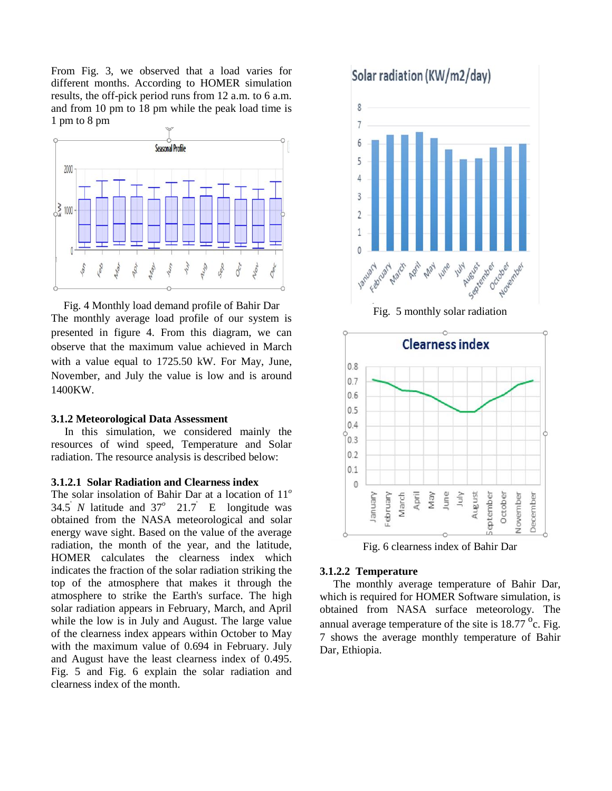From Fig. 3, we observed that a load varies for different months. According to HOMER simulation results, the off-pick period runs from 12 a.m. to 6 a.m. and from 10 pm to 18 pm while the peak load time is 1 pm to 8 pm



Fig. 4 Monthly load demand profile of Bahir Dar The monthly average load profile of our system is presented in figure 4. From this diagram, we can observe that the maximum value achieved in March with a value equal to 1725.50 kW. For May, June, November, and July the value is low and is around 1400KW.

#### **3.1.2 Meteorological Data Assessment**

In this simulation, we considered mainly the resources of wind speed, Temperature and Solar radiation. The resource analysis is described below:

#### **3.1.2.1 Solar Radiation and Clearness index**

The solar insolation of Bahir Dar at a location of 11*<sup>o</sup>* 34.5<sup>'</sup> *N* latitude and  $37^\circ$  21.7<sup>'</sup> E longitude was obtained from the NASA meteorological and solar energy wave sight. Based on the value of the average radiation, the month of the year, and the latitude, HOMER calculates the clearness index which indicates the fraction of the solar radiation striking the top of the atmosphere that makes it through the atmosphere to strike the Earth's surface. The high solar radiation appears in February, March, and April while the low is in July and August. The large value of the clearness index appears within October to May with the maximum value of 0.694 in February. July and August have the least clearness index of 0.495. Fig. 5 and Fig. 6 explain the solar radiation and clearness index of the month.



Fig. 6 clearness index of Bahir Dar

#### **3.1.2.2 Temperature**

The monthly average temperature of Bahir Dar, which is required for HOMER Software simulation, is obtained from NASA surface meteorology. The annual average temperature of the site is  $18.77 \degree$ c. Fig. 7 shows the average monthly temperature of Bahir Dar, Ethiopia.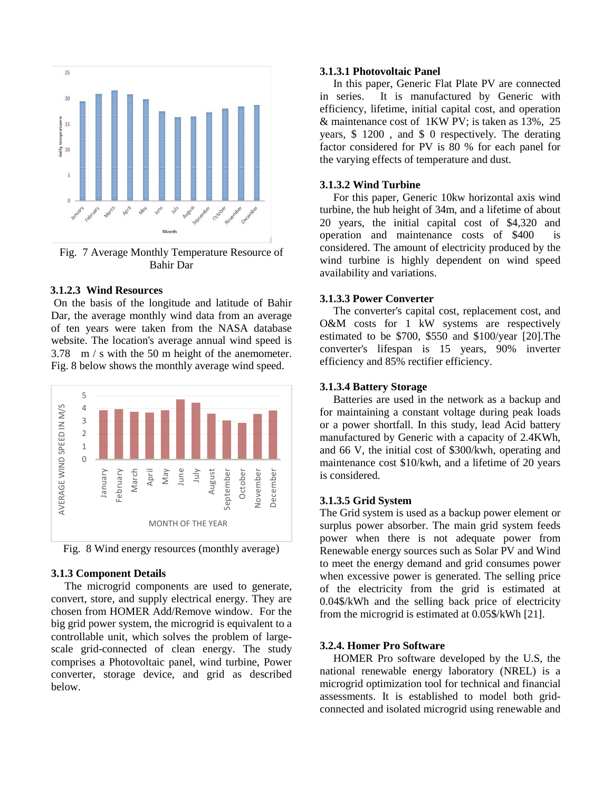

Fig. 7 Average Monthly Temperature Resource of Bahir Dar

#### **3.1.2.3 Wind Resources**

On the basis of the longitude and latitude of Bahir Dar, the average monthly wind data from an average of ten years were taken from the NASA database website. The location's average annual wind speed is 3.78 m / s with the 50 m height of the anemometer. Fig. 8 below shows the monthly average wind speed.



Fig. 8 Wind energy resources (monthly average)

#### **3.1.3 Component Details**

The microgrid components are used to generate, convert, store, and supply electrical energy. They are chosen from HOMER Add/Remove window. For the big grid power system, the microgrid is equivalent to a controllable unit, which solves the problem of largescale grid-connected of clean energy. The study comprises a Photovoltaic panel, wind turbine, Power converter, storage device, and grid as described below.

## **3.1.3.1 Photovoltaic Panel**

In this paper, Generic Flat Plate PV are connected in series. It is manufactured by Generic with efficiency, lifetime, initial capital cost, and operation & maintenance cost of 1KW PV; is taken as 13%, 25 years, \$ 1200 , and \$ 0 respectively. The derating factor considered for PV is 80 % for each panel for the varying effects of temperature and dust.

#### **3.1.3.2 Wind Turbine**

For this paper, Generic 10kw horizontal axis wind turbine, the hub height of 34m, and a lifetime of about 20 years, the initial capital cost of \$4,320 and operation and maintenance costs of \$400 is considered. The amount of electricity produced by the wind turbine is highly dependent on wind speed availability and variations.

#### **3.1.3.3 Power Converter**

The converter's capital cost, replacement cost, and O&M costs for 1 kW systems are respectively estimated to be \$700, \$550 and \$100/year [20].The converter's lifespan is 15 years, 90% inverter efficiency and 85% rectifier efficiency.

#### **3.1.3.4 Battery Storage**

Batteries are used in the network as a backup and for maintaining a constant voltage during peak loads or a power shortfall. In this study, lead Acid battery manufactured by Generic with a capacity of 2.4KWh, and 66 V, the initial cost of \$300/kwh, operating and maintenance cost \$10/kwh, and a lifetime of 20 years is considered.

## **3.1.3.5 Grid System**

The Grid system is used as a backup power element or surplus power absorber. The main grid system feeds power when there is not adequate power from Renewable energy sources such as Solar PV and Wind to meet the energy demand and grid consumes power when excessive power is generated. The selling price of the electricity from the grid is estimated at 0.04\$/kWh and the selling back price of electricity from the microgrid is estimated at 0.05\$/kWh [21].

#### **3.2.4. Homer Pro Software**

HOMER Pro software developed by the U.S, the national renewable energy laboratory (NREL) is a microgrid optimization tool for technical and financial assessments. It is established to model both gridconnected and isolated microgrid using renewable and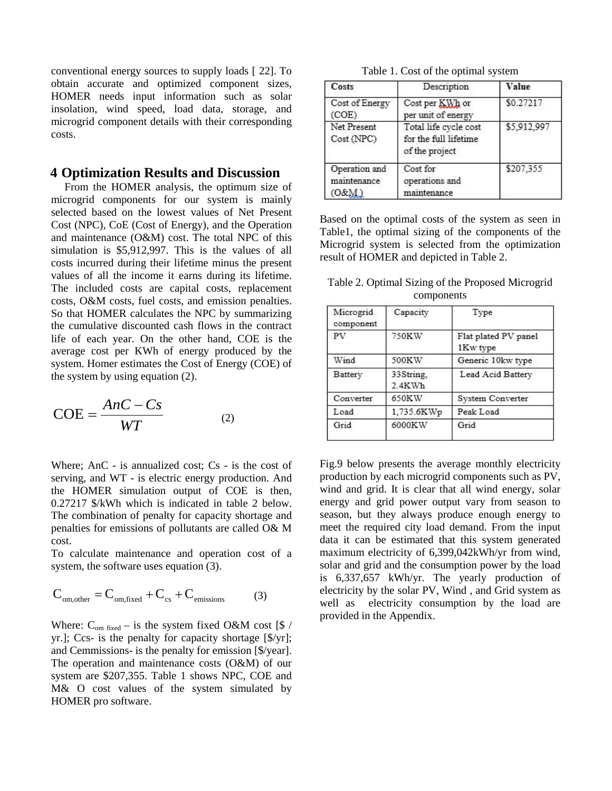conventional energy sources to supply loads [ 22]. To obtain accurate and optimized component sizes, HOMER needs input information such as solar insolation, wind speed, load data, storage, and microgrid component details with their corresponding costs.

### **4 Optimization Results and Discussion**

From the HOMER analysis, the optimum size of microgrid components for our system is mainly selected based on the lowest values of Net Present Cost (NPC), CoE (Cost of Energy), and the Operation and maintenance (O&M) cost. The total NPC of this simulation is \$5,912,997. This is the values of all costs incurred during their lifetime minus the present values of all the income it earns during its lifetime. The included costs are capital costs, replacement costs, O&M costs, fuel costs, and emission penalties. So that HOMER calculates the NPC by summarizing the cumulative discounted cash flows in the contract life of each year. On the other hand, COE is the average cost per KWh of energy produced by the system. Homer estimates the Cost of Energy (COE) of the system by using equation (2).

$$
COE = \frac{AnC - Cs}{WT}
$$
 (2)

Where; AnC - is annualized cost;  $Cs$  - is the cost of serving, and WT - is electric energy production. And the HOMER simulation output of COE is then, 0.27217 \$/kWh which is indicated in table 2 below. The combination of penalty for capacity shortage and penalties for emissions of pollutants are called O& M cost.

To calculate maintenance and operation cost of a system, the software uses equation  $(3)$ .

$$
C_{\text{om,other}} = C_{\text{om,fixed}} + C_{\text{cs}} + C_{\text{emissions}} \tag{3}
$$

Where:  $C_{\text{om fixed}} -$  is the system fixed O&M cost [\$ / yr.]; Ccs- is the penalty for capacity shortage [\$/yr]; and Cemmissions- is the penalty for emission [\$/year]. The operation and maintenance costs (O&M) of our system are \$207,355. Table 1 shows NPC, COE and M& O cost values of the system simulated by HOMER pro software.

| Table 1. Cost of the optimal system |  |  |
|-------------------------------------|--|--|
|-------------------------------------|--|--|

| Costs                                                                              | Description                                                      | Value       |  |
|------------------------------------------------------------------------------------|------------------------------------------------------------------|-------------|--|
| Cost of Energy<br>Cost per KWh or<br>(COE)<br>per unit of energy                   |                                                                  | \$0.27217   |  |
| Net Present<br>Cost (NPC)                                                          | Total life cycle cost<br>for the full lifetime<br>of the project | \$5,912,997 |  |
| Operation and<br>Cost for<br>operations and<br>maintenance<br>(O&M)<br>maintenance |                                                                  | \$207,355   |  |

Based on the optimal costs of the system as seen in Table1, the optimal sizing of the components of the Microgrid system is selected from the optimization result of HOMER and depicted in Table 2.

Table 2. Optimal Sizing of the Proposed Microgrid components

| Microgrid<br>component | Capacity                  | Type                             |
|------------------------|---------------------------|----------------------------------|
| <b>PV</b>              | 750KW                     | Flat plated PV panel<br>1Kw type |
| Wind                   | 500KW                     | Generic 10kw type                |
| Battery                | 33String.<br>$2.4$ K $Wh$ | Lead Acid Battery                |
| Converter              | 650KW                     | System Converter                 |
| Load                   | 1,735.6KWp                | Peak Load                        |
| Grid                   | 6000KW                    | Grid                             |

Fig.9 below presents the average monthly electricity production by each microgrid components such as PV, wind and grid. It is clear that all wind energy, solar energy and grid power output vary from season to season, but they always produce enough energy to meet the required city load demand. From the input data it can be estimated that this system generated maximum electricity of 6,399,042kWh/yr from wind, solar and grid and the consumption power by the load is 6,337,657 kWh/yr. The yearly production of electricity by the solar PV, Wind , and Grid system as well as electricity consumption by the load are provided in the Appendix.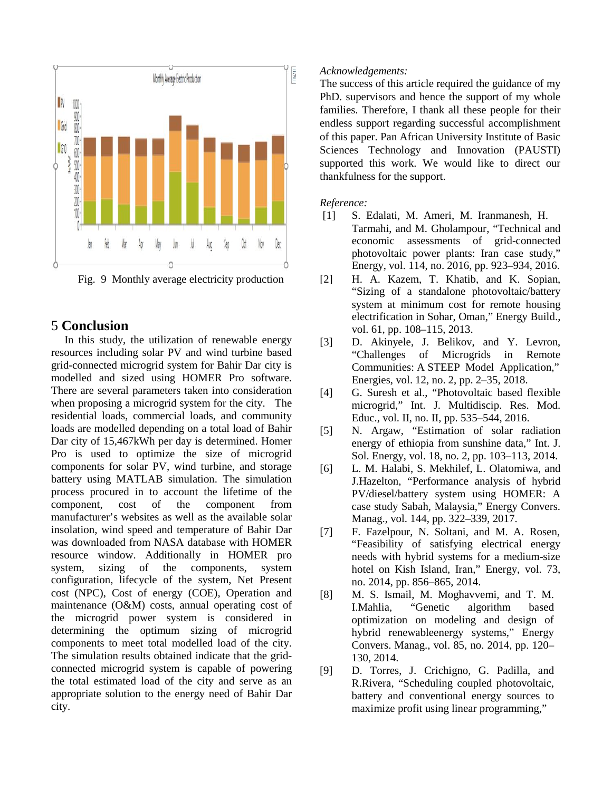

Fig. 9 Monthly average electricity production

## 5 **Conclusion**

In this study, the utilization of renewable energy resources including solar PV and wind turbine based grid-connected microgrid system for Bahir Dar city is modelled and sized using HOMER Pro software. There are several parameters taken into consideration when proposing a microgrid system for the city. The residential loads, commercial loads, and community loads are modelled depending on a total load of Bahir Dar city of 15,467kWh per day is determined. Homer Pro is used to optimize the size of microgrid components for solar PV, wind turbine, and storage battery using MATLAB simulation. The simulation process procured in to account the lifetime of the component, cost of the component from manufacturer's websites as well as the available solar insolation, wind speed and temperature of Bahir Dar was downloaded from NASA database with HOMER resource window. Additionally in HOMER pro system, sizing of the components, system configuration, lifecycle of the system, Net Present cost (NPC), Cost of energy (COE), Operation and maintenance (O&M) costs, annual operating cost of the microgrid power system is considered in determining the optimum sizing of microgrid components to meet total modelled load of the city. The simulation results obtained indicate that the gridconnected microgrid system is capable of powering the total estimated load of the city and serve as an appropriate solution to the energy need of Bahir Dar city.

## *Acknowledgements:*

The success of this article required the guidance of my PhD. supervisors and hence the support of my whole families. Therefore, I thank all these people for their endless support regarding successful accomplishment of this paper. Pan African University Institute of Basic Sciences Technology and Innovation (PAUSTI) supported this work. We would like to direct our thankfulness for the support.

## *Reference:*

- [1] S. Edalati, M. Ameri, M. Iranmanesh, H. Tarmahi, and M. Gholampour, "Technical and economic assessments of grid-connected photovoltaic power plants: Iran case study," Energy, vol. 114, no. 2016, pp. 923–934, 2016.
- [2] H. A. Kazem, T. Khatib, and K. Sopian, "Sizing of a standalone photovoltaic/battery system at minimum cost for remote housing electrification in Sohar, Oman," Energy Build., vol. 61, pp. 108–115, 2013.
- [3] D. Akinyele, J. Belikov, and Y. Levron, "Challenges of Microgrids in Remote Communities: A STEEP Model Application," Energies, vol. 12, no. 2, pp. 2–35, 2018.
- [4] G. Suresh et al., "Photovoltaic based flexible microgrid," Int. J. Multidiscip. Res. Mod. Educ., vol. II, no. II, pp. 535–544, 2016.
- [5] N. Argaw, "Estimation of solar radiation energy of ethiopia from sunshine data," Int. J. Sol. Energy, vol. 18, no. 2, pp. 103–113, 2014.
- [6] L. M. Halabi, S. Mekhilef, L. Olatomiwa, and J.Hazelton, "Performance analysis of hybrid PV/diesel/battery system using HOMER: A case study Sabah, Malaysia," Energy Convers. Manag., vol. 144, pp. 322–339, 2017.
- [7] F. Fazelpour, N. Soltani, and M. A. Rosen, "Feasibility of satisfying electrical energy needs with hybrid systems for a medium-size hotel on Kish Island, Iran," Energy, vol. 73, no. 2014, pp. 856–865, 2014.
- [8] M. S. Ismail, M. Moghavvemi, and T. M. I.Mahlia, "Genetic algorithm based optimization on modeling and design of hybrid renewableenergy systems," Energy Convers. Manag., vol. 85, no. 2014, pp. 120– 130, 2014.
- [9] D. Torres, J. Crichigno, G. Padilla, and R.Rivera, "Scheduling coupled photovoltaic, battery and conventional energy sources to maximize profit using linear programming,"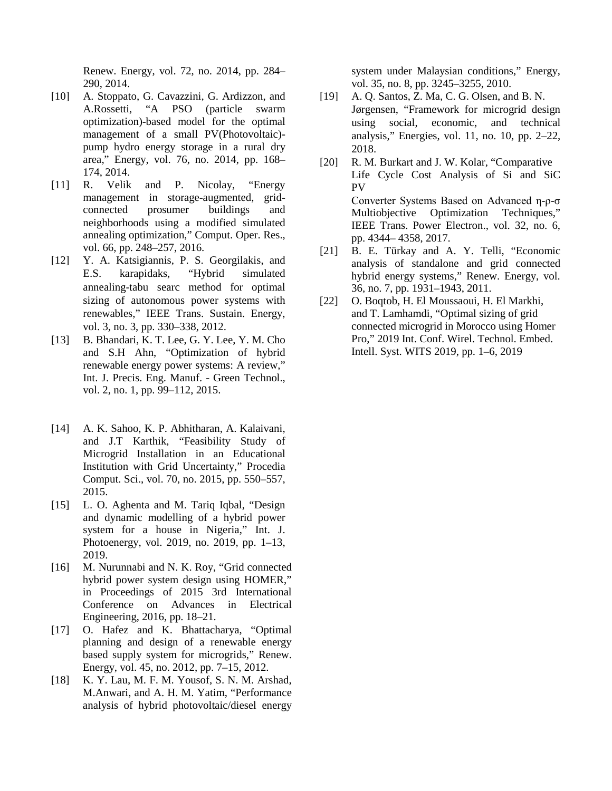Renew. Energy, vol. 72, no. 2014, pp. 284– 290, 2014.

- [10] A. Stoppato, G. Cavazzini, G. Ardizzon, and A.Rossetti, "A PSO (particle swarm optimization)-based model for the optimal management of a small PV(Photovoltaic) pump hydro energy storage in a rural dry area," Energy, vol. 76, no. 2014, pp. 168– 174, 2014.
- [11] R. Velik and P. Nicolay, "Energy management in storage-augmented, gridconnected prosumer buildings and neighborhoods using a modified simulated annealing optimization," Comput. Oper. Res., vol. 66, pp. 248–257, 2016.
- [12] Y. A. Katsigiannis, P. S. Georgilakis, and E.S. karapidaks, "Hybrid simulated annealing-tabu searc method for optimal sizing of autonomous power systems with renewables," IEEE Trans. Sustain. Energy, vol. 3, no. 3, pp. 330–338, 2012.
- [13] B. Bhandari, K. T. Lee, G. Y. Lee, Y. M. Cho and S.H Ahn, "Optimization of hybrid renewable energy power systems: A review," Int. J. Precis. Eng. Manuf. - Green Technol., vol. 2, no. 1, pp. 99–112, 2015.
- [14] A. K. Sahoo, K. P. Abhitharan, A. Kalaivani, and J.T Karthik, "Feasibility Study of Microgrid Installation in an Educational Institution with Grid Uncertainty," Procedia Comput. Sci., vol. 70, no. 2015, pp. 550–557, 2015.
- [15] L. O. Aghenta and M. Tariq Iqbal, "Design and dynamic modelling of a hybrid power system for a house in Nigeria," Int. J. Photoenergy, vol. 2019, no. 2019, pp. 1–13, 2019.
- [16] M. Nurunnabi and N. K. Roy, "Grid connected hybrid power system design using HOMER," in Proceedings of 2015 3rd International Conference on Advances in Electrical Engineering, 2016, pp. 18–21.
- [17] O. Hafez and K. Bhattacharya, "Optimal planning and design of a renewable energy based supply system for microgrids," Renew. Energy, vol. 45, no. 2012, pp. 7–15, 2012.
- [18] K. Y. Lau, M. F. M. Yousof, S. N. M. Arshad, M.Anwari, and A. H. M. Yatim, "Performance analysis of hybrid photovoltaic/diesel energy

system under Malaysian conditions," Energy, vol. 35, no. 8, pp. 3245–3255, 2010.

- [19] A. Q. Santos, Z. Ma, C. G. Olsen, and B. N. Jørgensen, "Framework for microgrid design using social, economic, and technical analysis," Energies, vol. 11, no. 10, pp. 2–22, 2018.
- [20] R. M. Burkart and J. W. Kolar, "Comparative Life Cycle Cost Analysis of Si and SiC PV Converter Systems Based on Advanced η-ρ-σ Multiobjective Optimization Techniques," IEEE Trans. Power Electron., vol. 32, no. 6, pp. 4344– 4358, 2017.
- [21] B. E. Türkay and A. Y. Telli, "Economic analysis of standalone and grid connected hybrid energy systems," Renew. Energy, vol. 36, no. 7, pp. 1931–1943, 2011.
- [22] O. Boqtob, H. El Moussaoui, H. El Markhi, and T. Lamhamdi, "Optimal sizing of grid connected microgrid in Morocco using Homer Pro," 2019 Int. Conf. Wirel. Technol. Embed. Intell. Syst. WITS 2019, pp. 1–6, 2019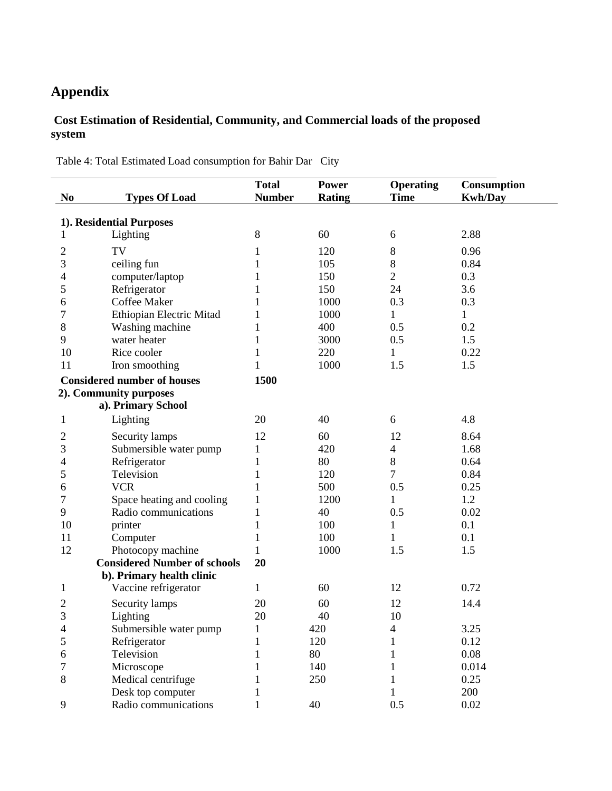# **Appendix**

 $\overline{a}$ 

## **Cost Estimation of Residential, Community, and Commercial loads of the proposed system**

Table 4: Total Estimated Load consumption for Bahir Dar City

|                |                                     | <b>Total</b>  | <b>Power</b>  | <b>Operating</b> | Consumption    |
|----------------|-------------------------------------|---------------|---------------|------------------|----------------|
| N <sub>0</sub> | <b>Types Of Load</b>                | <b>Number</b> | <b>Rating</b> | <b>Time</b>      | <b>Kwh/Day</b> |
|                | 1). Residential Purposes            |               |               |                  |                |
|                | Lighting                            | 8             | 60            | 6                | 2.88           |
| 2              | TV                                  | 1             | 120           | $\,8\,$          | 0.96           |
| 3              | ceiling fun                         |               | 105           | $\,8\,$          | 0.84           |
| 4              | computer/laptop                     |               | 150           | $\overline{2}$   | 0.3            |
| 5              | Refrigerator                        |               | 150           | 24               | 3.6            |
| 6              | <b>Coffee Maker</b>                 |               | 1000          | 0.3              | 0.3            |
| 7              | Ethiopian Electric Mitad            | 1             | 1000          | 1                | $\mathbf 1$    |
| $8\,$          | Washing machine                     |               | 400           | 0.5              | 0.2            |
| 9              | water heater                        |               | 3000          | 0.5              | 1.5            |
| 10             | Rice cooler                         | 1             | 220           | 1                | 0.22           |
| 11             | Iron smoothing                      |               | 1000          | 1.5              | 1.5            |
|                | <b>Considered number of houses</b>  | 1500          |               |                  |                |
|                | 2). Community purposes              |               |               |                  |                |
|                | a). Primary School                  |               |               |                  |                |
| 1              | Lighting                            | 20            | 40            | 6                | 4.8            |
| $\overline{c}$ | Security lamps                      | 12            | 60            | 12               | 8.64           |
| 3              | Submersible water pump              | 1             | 420           | $\overline{4}$   | 1.68           |
| 4              | Refrigerator                        | 1             | 80            | $8\,$            | 0.64           |
| 5              | Television                          | 1             | 120           | 7                | 0.84           |
| 6              | <b>VCR</b>                          | 1             | 500           | 0.5              | 0.25           |
| 7              | Space heating and cooling           | 1             | 1200          | 1                | 1.2            |
| 9              | Radio communications                | 1             | 40            | 0.5              | 0.02           |
| 10             | printer                             | $\mathbf{1}$  | 100           | 1                | 0.1            |
| 11             | Computer                            | 1             | 100           | 1                | 0.1            |
| 12             | Photocopy machine                   | 1             | 1000          | 1.5              | 1.5            |
|                | <b>Considered Number of schools</b> | 20            |               |                  |                |
|                | b). Primary health clinic           |               |               |                  |                |
| 1              | Vaccine refrigerator                | 1             | 60            | 12               | 0.72           |
| $\overline{c}$ | Security lamps                      | 20            | 60            | 12               | 14.4           |
| 3              | Lighting                            | 20            | 40            | 10               |                |
| 4              | Submersible water pump              |               | 420           | 4                | 3.25           |
| 5              | Refrigerator                        |               | 120           |                  | 0.12           |
| 6              | Television                          |               | 80            |                  | 0.08           |
| 7              | Microscope                          |               | 140           |                  | 0.014          |
| $8\,$          | Medical centrifuge                  |               | 250           |                  | 0.25           |
|                | Desk top computer                   |               |               |                  | 200            |
| 9              | Radio communications                |               | 40            | 0.5              | 0.02           |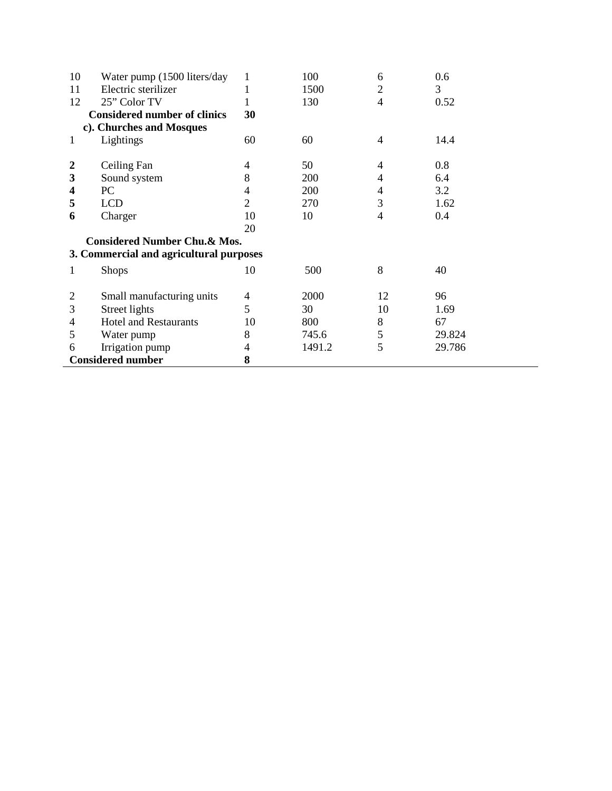| 10                                      | Water pump (1500 liters/day              | 1              | 100    | 6                        | 0.6    |  |
|-----------------------------------------|------------------------------------------|----------------|--------|--------------------------|--------|--|
| 11                                      | Electric sterilizer                      |                | 1500   | 2                        | 3      |  |
| 12                                      | 25" Color TV                             | 1              | 130    | $\overline{4}$           | 0.52   |  |
|                                         | <b>Considered number of clinics</b>      | 30             |        |                          |        |  |
|                                         | c). Churches and Mosques                 |                |        |                          |        |  |
| 1                                       | Lightings                                | 60             | 60     | $\overline{4}$           | 14.4   |  |
|                                         |                                          |                |        |                          |        |  |
| $\boldsymbol{2}$                        | Ceiling Fan                              | 4              | 50     | $\overline{\mathcal{A}}$ | 0.8    |  |
| 3                                       | Sound system                             | 8              | 200    | 4                        | 6.4    |  |
| 4                                       | PC                                       | 4              | 200    | 4                        | 3.2    |  |
| 5                                       | <b>LCD</b>                               | $\overline{2}$ | 270    | 3                        | 1.62   |  |
| 6                                       | Charger                                  | 10             | 10     | 4                        | 0.4    |  |
|                                         |                                          | 20             |        |                          |        |  |
|                                         | <b>Considered Number Chu. &amp; Mos.</b> |                |        |                          |        |  |
| 3. Commercial and agricultural purposes |                                          |                |        |                          |        |  |
| 1                                       | <b>Shops</b>                             | 10             | 500    | 8                        | 40     |  |
| $\overline{2}$                          | Small manufacturing units                | 4              | 2000   | 12                       | 96     |  |
| 3                                       | Street lights                            | 5              | 30     | 10                       | 1.69   |  |
| 4                                       | <b>Hotel and Restaurants</b>             | 10             | 800    | 8                        | 67     |  |
| 5                                       | Water pump                               | 8              | 745.6  | 5                        | 29.824 |  |
| 6                                       | Irrigation pump                          | 4              | 1491.2 | 5                        | 29.786 |  |
|                                         | <b>Considered number</b>                 | 8              |        |                          |        |  |